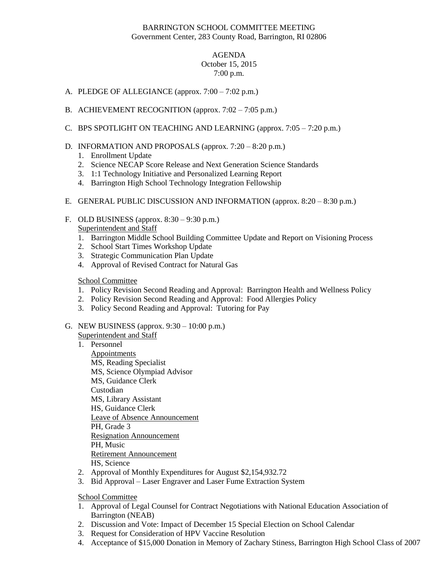## BARRINGTON SCHOOL COMMITTEE MEETING Government Center, 283 County Road, Barrington, RI 02806

## AGENDA October 15, 2015 7:00 p.m.

- A. PLEDGE OF ALLEGIANCE (approx. 7:00 7:02 p.m.)
- B. ACHIEVEMENT RECOGNITION (approx. 7:02 7:05 p.m.)
- C. BPS SPOTLIGHT ON TEACHING AND LEARNING (approx. 7:05 7:20 p.m.)
- D. INFORMATION AND PROPOSALS (approx. 7:20 8:20 p.m.)
	- 1. Enrollment Update
	- 2. Science NECAP Score Release and Next Generation Science Standards
	- 3. 1:1 Technology Initiative and Personalized Learning Report
	- 4. Barrington High School Technology Integration Fellowship
- E. GENERAL PUBLIC DISCUSSION AND INFORMATION (approx. 8:20 8:30 p.m.)
- F. OLD BUSINESS (approx. 8:30 9:30 p.m.) Superintendent and Staff
	- 1. Barrington Middle School Building Committee Update and Report on Visioning Process
	- 2. School Start Times Workshop Update
	- 3. Strategic Communication Plan Update
	- 4. Approval of Revised Contract for Natural Gas

## School Committee

- 1. Policy Revision Second Reading and Approval: Barrington Health and Wellness Policy
- 2. Policy Revision Second Reading and Approval: Food Allergies Policy
- 3. Policy Second Reading and Approval: Tutoring for Pay
- G. NEW BUSINESS (approx. 9:30 10:00 p.m.)

Superintendent and Staff

- 1. Personnel
	- Appointments MS, Reading Specialist MS, Science Olympiad Advisor MS, Guidance Clerk Custodian MS, Library Assistant HS, Guidance Clerk Leave of Absence Announcement PH, Grade 3 Resignation Announcement PH, Music Retirement Announcement HS, Science
- 2. Approval of Monthly Expenditures for August \$2,154,932.72
- 3. Bid Approval Laser Engraver and Laser Fume Extraction System

School Committee

- 1. Approval of Legal Counsel for Contract Negotiations with National Education Association of Barrington (NEAB)
- 2. Discussion and Vote: Impact of December 15 Special Election on School Calendar
- 3. Request for Consideration of HPV Vaccine Resolution
- 4. Acceptance of \$15,000 Donation in Memory of Zachary Stiness, Barrington High School Class of 2007